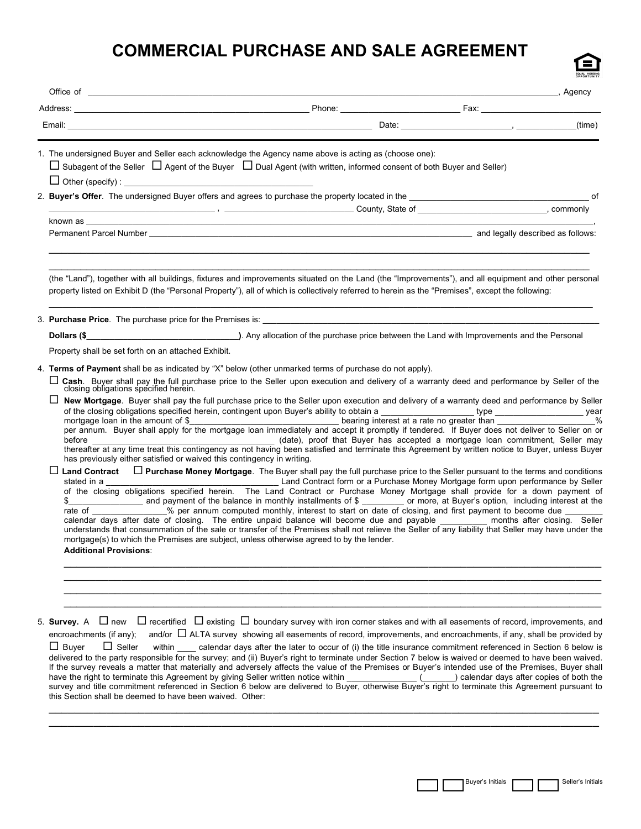# **COMMERCIAL PURCHASE AND SALE AGREEMENT**

|                                                                                                                                                                                                                           |                                                                                                                                                                                                                                                                                                                                                                                                                                                                                                                                                                                                                                                                                                                                                                                                                | <b>Example 2</b> Agency |
|---------------------------------------------------------------------------------------------------------------------------------------------------------------------------------------------------------------------------|----------------------------------------------------------------------------------------------------------------------------------------------------------------------------------------------------------------------------------------------------------------------------------------------------------------------------------------------------------------------------------------------------------------------------------------------------------------------------------------------------------------------------------------------------------------------------------------------------------------------------------------------------------------------------------------------------------------------------------------------------------------------------------------------------------------|-------------------------|
|                                                                                                                                                                                                                           |                                                                                                                                                                                                                                                                                                                                                                                                                                                                                                                                                                                                                                                                                                                                                                                                                |                         |
| 1. The undersigned Buyer and Seller each acknowledge the Agency name above is acting as (choose one):<br>$\Box$ Other (specify) :                                                                                         | $\Box$ Subagent of the Seller $\Box$ Agent of the Buyer $\Box$ Dual Agent (with written, informed consent of both Buyer and Seller)                                                                                                                                                                                                                                                                                                                                                                                                                                                                                                                                                                                                                                                                            |                         |
|                                                                                                                                                                                                                           |                                                                                                                                                                                                                                                                                                                                                                                                                                                                                                                                                                                                                                                                                                                                                                                                                |                         |
|                                                                                                                                                                                                                           |                                                                                                                                                                                                                                                                                                                                                                                                                                                                                                                                                                                                                                                                                                                                                                                                                |                         |
|                                                                                                                                                                                                                           |                                                                                                                                                                                                                                                                                                                                                                                                                                                                                                                                                                                                                                                                                                                                                                                                                |                         |
|                                                                                                                                                                                                                           | (the "Land"), together with all buildings, fixtures and improvements situated on the Land (the "Improvements"), and all equipment and other personal<br>property listed on Exhibit D (the "Personal Property"), all of which is collectively referred to herein as the "Premises", except the following:                                                                                                                                                                                                                                                                                                                                                                                                                                                                                                       |                         |
| 3. <b>Purchase Price</b> . The purchase price for the Premises is:                                                                                                                                                        |                                                                                                                                                                                                                                                                                                                                                                                                                                                                                                                                                                                                                                                                                                                                                                                                                |                         |
|                                                                                                                                                                                                                           |                                                                                                                                                                                                                                                                                                                                                                                                                                                                                                                                                                                                                                                                                                                                                                                                                |                         |
| Property shall be set forth on an attached Exhibit.                                                                                                                                                                       |                                                                                                                                                                                                                                                                                                                                                                                                                                                                                                                                                                                                                                                                                                                                                                                                                |                         |
| 4. Terms of Payment shall be as indicated by "X" below (other unmarked terms of purchase do not apply).                                                                                                                   |                                                                                                                                                                                                                                                                                                                                                                                                                                                                                                                                                                                                                                                                                                                                                                                                                |                         |
|                                                                                                                                                                                                                           | □ Cash. Buyer shall pay the full purchase price to the Seller upon execution and delivery of a warranty deed and performance by Seller of the closing obligations specified herein.                                                                                                                                                                                                                                                                                                                                                                                                                                                                                                                                                                                                                            |                         |
| ப                                                                                                                                                                                                                         | New Mortgage. Buyer shall pay the full purchase price to the Seller upon execution and delivery of a warranty deed and performance by Seller                                                                                                                                                                                                                                                                                                                                                                                                                                                                                                                                                                                                                                                                   |                         |
|                                                                                                                                                                                                                           |                                                                                                                                                                                                                                                                                                                                                                                                                                                                                                                                                                                                                                                                                                                                                                                                                |                         |
| has previously either satisfied or waived this contingency in writing.<br>ப<br>$\frac{1}{2}$<br>mortgage(s) to which the Premises are subject, unless otherwise agreed to by the lender.<br><b>Additional Provisions:</b> | Land Contract □ Purchase Money Mortgage. The Buyer shall pay the full purchase price to the Seller pursuant to the terms and conditions<br>of the closing obligations specified herein. The Land Contract or Purchase Money Mortgage shall provide for a down payment of<br>and payment of the balance in monthly installments of \$ _________ or more, at Buyer's option, including interest at the<br>rate of We per annum computed monthly, interest to start on date of closing, and first payment to become due<br>calendar days after date of closing. The entire unpaid balance will become due and payable ________ months after closing. Seller<br>understands that consummation of the sale or transfer of the Premises shall not relieve the Seller of any liability that Seller may have under the |                         |
|                                                                                                                                                                                                                           |                                                                                                                                                                                                                                                                                                                                                                                                                                                                                                                                                                                                                                                                                                                                                                                                                |                         |
|                                                                                                                                                                                                                           | $\Box$ recertified $\Box$ existing $\Box$ boundary survey with iron corner stakes and with all easements of record, improvements, and                                                                                                                                                                                                                                                                                                                                                                                                                                                                                                                                                                                                                                                                          |                         |

delivered to the party responsible for the survey; and (ii) Buyer's right to terminate under Section 7 below is waived or deemed to have been waived. If the survey reveals a matter that materially and adversely affects the value of the Premises or Buyer's intended use of the Premises, Buyer shall have the right to terminate this Agreement by giving Seller written notice within \_\_\_\_\_\_\_\_\_\_\_\_\_\_\_\_\_\_\_\_\_\_( calendar days after copies of both the survey and title commitment referenced in Section 6 below are delivered to Buyer, otherwise Buyer's right to terminate this Agreement pursuant to this Section shall be deemed to have been waived. Other:

 $\_$  , and the set of the set of the set of the set of the set of the set of the set of the set of the set of the set of the set of the set of the set of the set of the set of the set of the set of the set of the set of th \_\_\_\_\_\_\_\_\_\_\_\_\_\_\_\_\_\_\_\_\_\_\_\_\_\_\_\_\_\_\_\_\_\_\_\_\_\_\_\_\_\_\_\_\_\_\_\_\_\_\_\_\_\_\_\_\_\_\_\_\_\_\_\_\_\_\_\_\_\_\_\_\_\_\_\_\_\_\_\_\_\_\_\_\_\_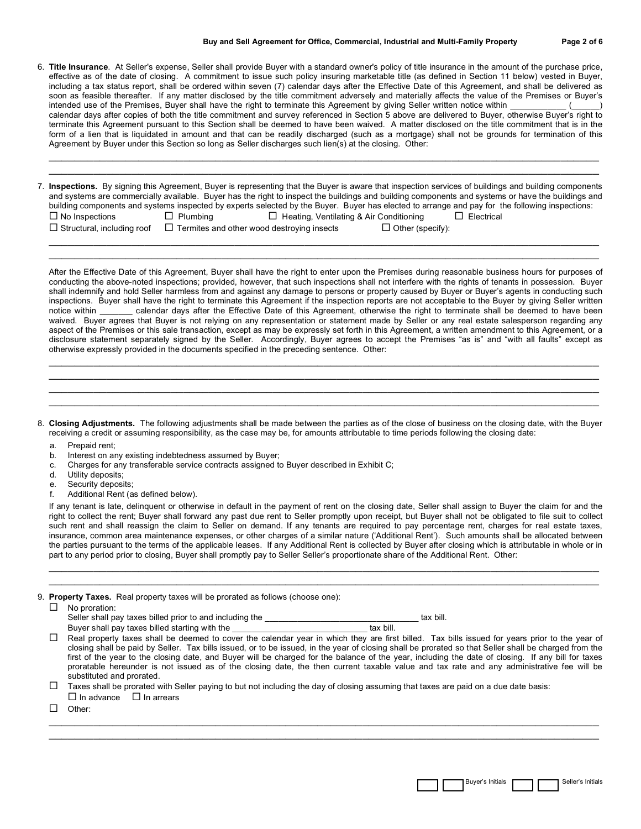- 6. **Title Insurance**. At Seller's expense, Seller shall provide Buyer with a standard owner's policy of title insurance in the amount of the purchase price, effective as of the date of closing. A commitment to issue such policy insuring marketable title (as defined in Section 11 below) vested in Buyer, including a tax status report, shall be ordered within seven (7) calendar days after the Effective Date of this Agreement, and shall be delivered as soon as feasible thereafter. If any matter disclosed by the title commitment adversely and materially affects the value of the Premises or Buyer's intended use of the Premises, Buyer shall have the right to terminate this Agreement by giving Seller written notice within calendar days after copies of both the title commitment and survey referenced in Section 5 above are delivered to Buyer, otherwise Buyer's right to terminate this Agreement pursuant to this Section shall be deemed to have been waived. A matter disclosed on the title commitment that is in the form of a lien that is liquidated in amount and that can be readily discharged (such as a mortgage) shall not be grounds for termination of this Agreement by Buyer under this Section so long as Seller discharges such lien(s) at the closing. Other:
- 7. **Inspections.** By signing this Agreement, Buyer is representing that the Buyer is aware that inspection services of buildings and building components and systems are commercially available. Buyer has the right to inspect the buildings and building components and systems or have the buildings and building components and systems inspected by experts selected by the Buyer. Buyer has elected to arrange and pay for the following inspections:

 $\_$  , and the set of the set of the set of the set of the set of the set of the set of the set of the set of the set of the set of the set of the set of the set of the set of the set of the set of the set of the set of th  $\_$  , and the set of the set of the set of the set of the set of the set of the set of the set of the set of the set of the set of the set of the set of the set of the set of the set of the set of the set of the set of th

| ш туо шэрссионэ                  |  |  |  |  |  |  |
|----------------------------------|--|--|--|--|--|--|
| $\Box$ Structural including roof |  |  |  |  |  |  |

 $\square$  Termites and other wood destroying insects  $\square$  Other (specify):  $\_$  , and the set of the set of the set of the set of the set of the set of the set of the set of the set of the set of the set of the set of the set of the set of the set of the set of the set of the set of the set of th

 $\Box$  No Inspections  $\Box$  Plumbing  $\Box$  Heating, Ventilating & Air Conditioning  $\Box$  Electrical

After the Effective Date of this Agreement, Buyer shall have the right to enter upon the Premises during reasonable business hours for purposes of conducting the above-noted inspections; provided, however, that such inspections shall not interfere with the rights of tenants in possession. Buyer shall indemnify and hold Seller harmless from and against any damage to persons or property caused by Buyer or Buyer's agents in conducting such inspections. Buyer shall have the right to terminate this Agreement if the inspection reports are not acceptable to the Buyer by giving Seller written notice within \_\_\_\_\_\_\_ calendar days after the Effective Date of this Ag calendar days after the Effective Date of this Agreement, otherwise the right to terminate shall be deemed to have been waived. Buyer agrees that Buyer is not relying on any representation or statement made by Seller or any real estate salesperson regarding any aspect of the Premises or this sale transaction, except as may be expressly set forth in this Agreement, a written amendment to this Agreement, or a disclosure statement separately signed by the Seller. Accordingly, Buyer agrees to accept the Premises "as is" and "with all faults" except as otherwise expressly provided in the documents specified in the preceding sentence. Other:  $\_$  , and the set of the set of the set of the set of the set of the set of the set of the set of the set of the set of the set of the set of the set of the set of the set of the set of the set of the set of the set of th

\_\_\_\_\_\_\_\_\_\_\_\_\_\_\_\_\_\_\_\_\_\_\_\_\_\_\_\_\_\_\_\_\_\_\_\_\_\_\_\_\_\_\_\_\_\_\_\_\_\_\_\_\_\_\_\_\_\_\_\_\_\_\_\_\_\_\_\_\_\_\_\_\_\_\_\_\_\_\_\_\_\_\_\_\_\_

8. **Closing Adjustments.** The following adjustments shall be made between the parties as of the close of business on the closing date, with the Buyer receiving a credit or assuming responsibility, as the case may be, for amounts attributable to time periods following the closing date:

 $\_$  , and the set of the set of the set of the set of the set of the set of the set of the set of the set of the set of the set of the set of the set of the set of the set of the set of the set of the set of the set of th \_\_\_\_\_\_\_\_\_\_\_\_\_\_\_\_\_\_\_\_\_\_\_\_\_\_\_\_\_\_\_\_\_\_\_\_\_\_\_\_\_\_\_\_\_\_\_\_\_\_\_\_\_\_\_\_\_\_\_\_\_\_\_\_\_\_\_\_\_\_\_\_\_\_\_\_\_\_\_\_\_\_\_\_\_\_  $\_$  , and the set of the set of the set of the set of the set of the set of the set of the set of the set of the set of the set of the set of the set of the set of the set of the set of the set of the set of the set of th

- a. Prepaid rent;
- b. Interest on any existing indebtedness assumed by Buyer;
- c. Charges for any transferable service contracts assigned to Buyer described in Exhibit C;
- d. Utility deposits;
- e. Security deposits;
- f. Additional Rent (as defined below).

If any tenant is late, delinquent or otherwise in default in the payment of rent on the closing date, Seller shall assign to Buyer the claim for and the right to collect the rent; Buyer shall forward any past due rent to Seller promptly upon receipt, but Buyer shall not be obligated to file suit to collect such rent and shall reassign the claim to Seller on demand. If any tenants are required to pay percentage rent, charges for real estate taxes, insurance, common area maintenance expenses, or other charges of a similar nature ('Additional Rent'). Such amounts shall be allocated between the parties pursuant to the terms of the applicable leases. If any Additional Rent is collected by Buyer after closing which is attributable in whole or in part to any period prior to closing, Buyer shall promptly pay to Seller Seller's proportionate share of the Additional Rent. Other:

 $\_$  , and the set of the set of the set of the set of the set of the set of the set of the set of the set of the set of the set of the set of the set of the set of the set of the set of the set of the set of the set of th  $\_$  , and the set of the set of the set of the set of the set of the set of the set of the set of the set of the set of the set of the set of the set of the set of the set of the set of the set of the set of the set of th

|  |  | 9. Property Taxes. Real property taxes will be prorated as follows (choose one): |  |
|--|--|----------------------------------------------------------------------------------|--|
|--|--|----------------------------------------------------------------------------------|--|

| No proration:                                                                                                                                         |           |  |
|-------------------------------------------------------------------------------------------------------------------------------------------------------|-----------|--|
| Seller shall pay taxes billed prior to and including the                                                                                              | tax bill. |  |
| Buyer shall pay taxes billed starting with the                                                                                                        | tax bill. |  |
| Real property taxes shall be deemed to cover the calendar year in which they are first billed. Tax bills issued for years prior to the year of        |           |  |
| closing shall be paid by Seller. Tax bills issued, or to be issued, in the year of closing shall be prorated so that Seller shall be charged from the |           |  |
| first of the year to the closing date, and Buyer will be charged for the balance of the year, including the date of closing. If any bill for taxes    |           |  |

proratable hereunder is not issued as of the closing date, the then current taxable value and tax rate and any administrative fee will be substituted and prorated.  $\Box$  Taxes shall be prorated with Seller paying to but not including the day of closing assuming that taxes are paid on a due date basis:

 $\_$  , and the set of the set of the set of the set of the set of the set of the set of the set of the set of the set of the set of the set of the set of the set of the set of the set of the set of the set of the set of th  $\_$  , and the set of the set of the set of the set of the set of the set of the set of the set of the set of the set of the set of the set of the set of the set of the set of the set of the set of the set of the set of th

- $\Box$  In advance  $\Box$  In arrears
- $\Box$  Other: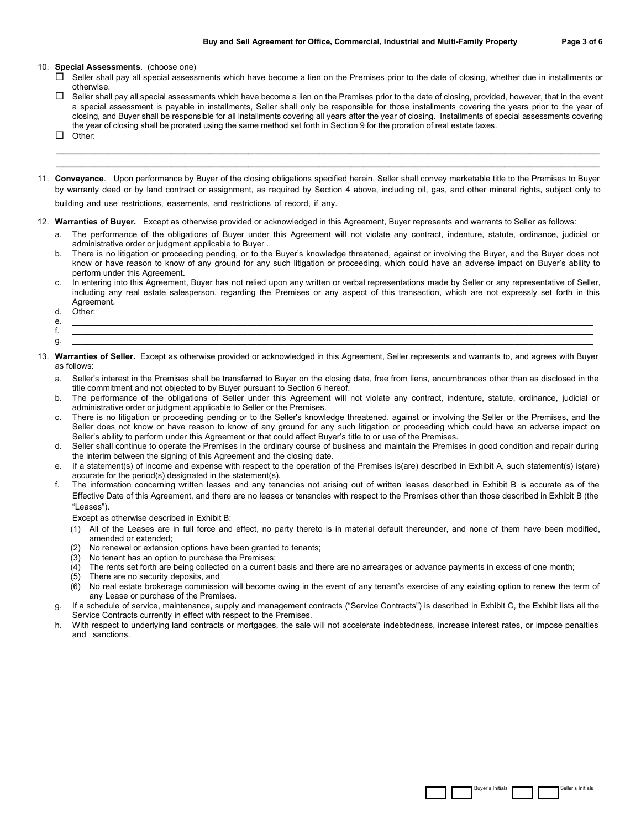- $\Box$  Seller shall pay all special assessments which have become a lien on the Premises prior to the date of closing, whether due in installments or otherwise.
- $\Box$  Seller shall pay all special assessments which have become a lien on the Premises prior to the date of closing, provided, however, that in the event a special assessment is payable in installments, Seller shall only be responsible for those installments covering the years prior to the year of closing, and Buyer shall be responsible for all installments covering all years after the year of closing. Installments of special assessments covering the year of closing shall be prorated using the same method set forth in Section 9 for the proration of real estate taxes. Other: \_\_\_\_\_\_\_\_\_\_\_\_\_\_\_\_\_\_\_\_\_\_\_\_\_\_\_\_\_\_\_\_\_\_\_\_\_\_\_\_\_\_\_\_\_\_\_\_\_\_\_\_\_\_\_\_\_\_\_\_\_\_\_\_\_\_\_\_\_\_\_\_\_\_\_\_\_\_\_\_\_\_\_\_\_\_\_\_\_\_\_\_\_\_\_\_\_\_\_\_\_\_\_\_\_\_\_\_\_\_

 $\_$  ,  $\_$  ,  $\_$  ,  $\_$  ,  $\_$  ,  $\_$  ,  $\_$  ,  $\_$  ,  $\_$  ,  $\_$  ,  $\_$  ,  $\_$  ,  $\_$  ,  $\_$  ,  $\_$  ,  $\_$  ,  $\_$  ,  $\_$  ,  $\_$  ,  $\_$  ,  $\_$  ,  $\_$  ,  $\_$  ,  $\_$  ,  $\_$  ,  $\_$  ,  $\_$  ,  $\_$  ,  $\_$  ,  $\_$  ,  $\_$  ,  $\_$  ,  $\_$  ,  $\_$  ,  $\_$  ,  $\_$  ,  $\_$  ,  $\_$  ,  $\_$  ,  $\_$  ,  $\_$  ,  $\_$  ,  $\_$  ,  $\_$  ,  $\_$  ,  $\_$  ,  $\_$  ,  $\_$  ,  $\_$  ,  $\_$  ,  $\_$  ,  $\_$  ,  $\_$  ,  $\_$  ,  $\_$  ,  $\_$  ,  $\_$  ,  $\_$  ,  $\_$  ,  $\_$  ,  $\_$  ,  $\_$  ,  $\_$  ,  $\_$  ,  $\_$  ,  $\_$  ,  $\_$  ,  $\_$  ,  $\_$  ,  $\_$  ,  $\_$  ,  $\_$  ,  $\_$  ,  $\_$  ,

- 
- 11. **Conveyance**. Upon performance by Buyer of the closing obligations specified herein, Seller shall convey marketable title to the Premises to Buyer by warranty deed or by land contract or assignment, as required by Section 4 above, including oil, gas, and other mineral rights, subject only to

building and use restrictions, easements, and restrictions of record, if any.

- 12. **Warranties of Buyer.** Except as otherwise provided or acknowledged in this Agreement, Buyer represents and warrants to Seller as follows:
	- a. The performance of the obligations of Buyer under this Agreement will not violate any contract, indenture, statute, ordinance, judicial or administrative order or judgment applicable to Buyer .
	- b. There is no litigation or proceeding pending, or to the Buyer's knowledge threatened, against or involving the Buyer, and the Buyer does not know or have reason to know of any ground for any such litigation or proceeding, which could have an adverse impact on Buyer's ability to perform under this Agreement.
	- c. In entering into this Agreement, Buyer has not relied upon any written or verbal representations made by Seller or any representative of Seller, including any real estate salesperson, regarding the Premises or any aspect of this transaction, which are not expressly set forth in this Agreement.
	- d. Other:
	- e. \_\_\_\_\_\_\_\_\_\_\_\_\_\_\_\_\_\_\_\_\_\_\_\_\_\_\_\_\_\_\_\_\_\_\_\_\_\_\_\_\_\_\_\_\_\_\_\_\_\_\_\_\_\_\_\_\_\_\_\_\_\_\_\_\_\_\_\_\_\_\_\_\_\_\_\_\_\_\_\_\_\_\_\_\_\_\_\_\_\_\_\_\_\_\_\_\_\_\_\_\_\_\_\_\_\_\_\_\_\_\_\_\_
	- f. \_\_\_\_\_\_\_\_\_\_\_\_\_\_\_\_\_\_\_\_\_\_\_\_\_\_\_\_\_\_\_\_\_\_\_\_\_\_\_\_\_\_\_\_\_\_\_\_\_\_\_\_\_\_\_\_\_\_\_\_\_\_\_\_\_\_\_\_\_\_\_\_\_\_\_\_\_\_\_\_\_\_\_\_\_\_\_\_\_\_\_\_\_\_\_\_\_\_\_\_\_\_\_\_\_\_\_\_\_\_\_\_\_
	- g. \_\_\_\_\_\_\_\_\_\_\_\_\_\_\_\_\_\_\_\_\_\_\_\_\_\_\_\_\_\_\_\_\_\_\_\_\_\_\_\_\_\_\_\_\_\_\_\_\_\_\_\_\_\_\_\_\_\_\_\_\_\_\_\_\_\_\_\_\_\_\_\_\_\_\_\_\_\_\_\_\_\_\_\_\_\_\_\_\_\_\_\_\_\_\_\_\_\_\_\_\_\_\_\_\_\_\_\_\_\_\_\_\_
- 13. **Warranties of Seller.** Except as otherwise provided or acknowledged in this Agreement, Seller represents and warrants to, and agrees with Buyer as follows:
	- a. Seller's interest in the Premises shall be transferred to Buyer on the closing date, free from liens, encumbrances other than as disclosed in the title commitment and not objected to by Buyer pursuant to Section 6 hereof.
	- b. The performance of the obligations of Seller under this Agreement will not violate any contract, indenture, statute, ordinance, judicial or administrative order or judgment applicable to Seller or the Premises.
	- c. There is no litigation or proceeding pending or to the Seller's knowledge threatened, against or involving the Seller or the Premises, and the Seller does not know or have reason to know of any ground for any such litigation or proceeding which could have an adverse impact on Seller's ability to perform under this Agreement or that could affect Buyer's title to or use of the Premises.
	- d. Seller shall continue to operate the Premises in the ordinary course of business and maintain the Premises in good condition and repair during the interim between the signing of this Agreement and the closing date.
	- e. If a statement(s) of income and expense with respect to the operation of the Premises is(are) described in Exhibit A, such statement(s) is(are) accurate for the period(s) designated in the statement(s).
	- f. The information concerning written leases and any tenancies not arising out of written leases described in Exhibit B is accurate as of the Effective Date of this Agreement, and there are no leases or tenancies with respect to the Premises other than those described in Exhibit B (the "Leases").

Except as otherwise described in Exhibit B:

- (1) All of the Leases are in full force and effect, no party thereto is in material default thereunder, and none of them have been modified, amended or extended;
- (2) No renewal or extension options have been granted to tenants;
- (3) No tenant has an option to purchase the Premises;
- (4) The rents set forth are being collected on a current basis and there are no arrearages or advance payments in excess of one month;
- (5) There are no security deposits, and
- (6) No real estate brokerage commission will become owing in the event of any tenant's exercise of any existing option to renew the term of any Lease or purchase of the Premises.
- If a schedule of service, maintenance, supply and management contracts ("Service Contracts") is described in Exhibit C, the Exhibit lists all the Service Contracts currently in effect with respect to the Premises.
- h. With respect to underlying land contracts or mortgages, the sale will not accelerate indebtedness, increase interest rates, or impose penalties and sanctions.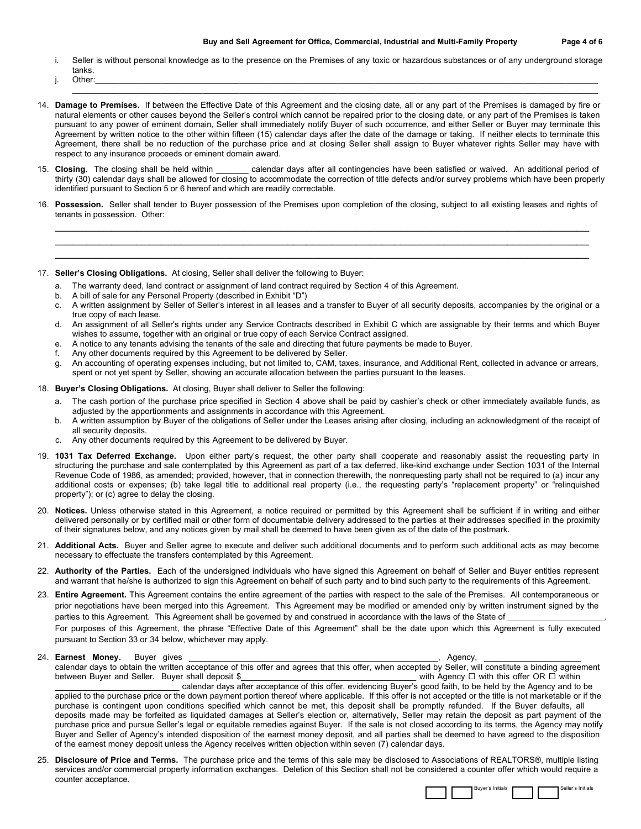i. Seller is without personal knowledge as to the presence on the Premises of any toxic or hazardous substances or of any underground storage tanks.

 $\mathcal{L}_\mathcal{L} = \{ \mathcal{L}_\mathcal{L} = \{ \mathcal{L}_\mathcal{L} = \{ \mathcal{L}_\mathcal{L} = \{ \mathcal{L}_\mathcal{L} = \{ \mathcal{L}_\mathcal{L} = \{ \mathcal{L}_\mathcal{L} = \{ \mathcal{L}_\mathcal{L} = \{ \mathcal{L}_\mathcal{L} = \{ \mathcal{L}_\mathcal{L} = \{ \mathcal{L}_\mathcal{L} = \{ \mathcal{L}_\mathcal{L} = \{ \mathcal{L}_\mathcal{L} = \{ \mathcal{L}_\mathcal{L} = \{ \mathcal{L}_\mathcal{$ 

- j. Other:\_\_\_\_\_\_\_\_\_\_\_\_\_\_\_\_\_\_\_\_\_\_\_\_\_\_\_\_\_\_\_\_\_\_\_\_\_\_\_\_\_\_\_\_\_\_\_\_\_\_\_\_\_\_\_\_\_\_\_\_\_\_\_\_\_\_\_\_\_\_\_\_\_\_\_\_\_\_\_\_\_\_\_\_\_\_\_\_\_\_\_\_\_\_\_\_\_\_\_\_\_\_\_\_\_\_\_\_
- 14. **Damage to Premises.** If between the Effective Date of this Agreement and the closing date, all or any part of the Premises is damaged by fire or natural elements or other causes beyond the Seller's control which cannot be repaired prior to the closing date, or any part of the Premises is taken pursuant to any power of eminent domain, Seller shall immediately notify Buyer of such occurrence, and either Seller or Buyer may terminate this Agreement by written notice to the other within fifteen (15) calendar days after the date of the damage or taking. If neither elects to terminate this Agreement, there shall be no reduction of the purchase price and at closing Seller shall assign to Buyer whatever rights Seller may have with respect to any insurance proceeds or eminent domain award.
- 15. **Closing.** The closing shall be held within \_\_\_\_\_\_\_ calendar days after all contingencies have been satisfied or waived. An additional period of thirty (30) calendar days shall be allowed for closing to accommodate the correction of title defects and/or survey problems which have been properly identified pursuant to Section 5 or 6 hereof and which are readily correctable.
- 16. **Possession.** Seller shall tender to Buyer possession of the Premises upon completion of the closing, subject to all existing leases and rights of tenants in possession. Other: \_\_\_\_\_\_\_\_\_\_\_\_\_\_\_\_\_\_\_\_\_\_\_\_\_\_\_\_\_\_\_\_\_\_\_\_\_\_\_\_\_\_\_\_\_\_\_\_\_\_\_\_\_\_\_\_\_\_\_\_\_\_\_\_\_\_\_\_\_\_\_\_\_\_\_\_\_\_\_\_\_\_\_\_\_

\_\_\_\_\_\_\_\_\_\_\_\_\_\_\_\_\_\_\_\_\_\_\_\_\_\_\_\_\_\_\_\_\_\_\_\_\_\_\_\_\_\_\_\_\_\_\_\_\_\_\_\_\_\_\_\_\_\_\_\_\_\_\_\_\_\_\_\_\_\_\_\_\_\_\_\_\_\_\_\_\_\_\_\_\_ \_\_\_\_\_\_\_\_\_\_\_\_\_\_\_\_\_\_\_\_\_\_\_\_\_\_\_\_\_\_\_\_\_\_\_\_\_\_\_\_\_\_\_\_\_\_\_\_\_\_\_\_\_\_\_\_\_\_\_\_\_\_\_\_\_\_\_\_\_\_\_\_\_\_\_\_\_\_\_\_\_\_\_\_\_

17. **Seller's Closing Obligations.** At closing, Seller shall deliver the following to Buyer:

- The warranty deed, land contract or assignment of land contract required by Section 4 of this Agreement.
- b. A bill of sale for any Personal Property (described in Exhibit "D")
- c. A written assignment by Seller of Seller's interest in all leases and a transfer to Buyer of all security deposits, accompanies by the original or a true copy of each lease.
- d. An assignment of all Seller's rights under any Service Contracts described in Exhibit C which are assignable by their terms and which Buyer wishes to assume, together with an original or true copy of each Service Contract assigned.
- e. A notice to any tenants advising the tenants of the sale and directing that future payments be made to Buyer.
- f. Any other documents required by this Agreement to be delivered by Seller.
- g. An accounting of operating expenses including, but not limited to, CAM, taxes, insurance, and Additional Rent, collected in advance or arrears, spent or not yet spent by Seller, showing an accurate allocation between the parties pursuant to the leases.
- 18. **Buyer's Closing Obligations.** At closing, Buyer shall deliver to Seller the following:
	- a. The cash portion of the purchase price specified in Section 4 above shall be paid by cashier's check or other immediately available funds, as adjusted by the apportionments and assignments in accordance with this Agreement.
	- b. A written assumption by Buyer of the obligations of Seller under the Leases arising after closing, including an acknowledgment of the receipt of all security deposits.
	- c. Any other documents required by this Agreement to be delivered by Buyer.
- 19. **1031 Tax Deferred Exchange.** Upon either party's request, the other party shall cooperate and reasonably assist the requesting party in structuring the purchase and sale contemplated by this Agreement as part of a tax deferred, like-kind exchange under Section 1031 of the Internal Revenue Code of 1986, as amended; provided, however, that in connection therewith, the nonrequesting party shall not be required to (a) incur any additional costs or expenses; (b) take legal title to additional real property (i.e., the requesting party's "replacement property" or "relinquished property"); or (c) agree to delay the closing.
- 20. **Notices.** Unless otherwise stated in this Agreement, a notice required or permitted by this Agreement shall be sufficient if in writing and either delivered personally or by certified mail or other form of documentable delivery addressed to the parties at their addresses specified in the proximity of their signatures below, and any notices given by mail shall be deemed to have been given as of the date of the postmark.
- 21. **Additional Acts.** Buyer and Seller agree to execute and deliver such additional documents and to perform such additional acts as may become necessary to effectuate the transfers contemplated by this Agreement.
- 22. **Authority of the Parties.** Each of the undersigned individuals who have signed this Agreement on behalf of Seller and Buyer entities represent and warrant that he/she is authorized to sign this Agreement on behalf of such party and to bind such party to the requirements of this Agreement.
- 23. **Entire Agreement.** This Agreement contains the entire agreement of the parties with respect to the sale of the Premises. All contemporaneous or prior negotiations have been merged into this Agreement. This Agreement may be modified or amended only by written instrument signed by the parties to this Agreement. This Agreement shall be governed by and construed in accordance with the laws of the State of For purposes of this Agreement, the phrase "Effective Date of this Agreement" shall be the date upon which this Agreement is fully executed pursuant to Section 33 or 34 below, whichever may apply.

|                    | Agency.                                                                                                                                                                      |
|--------------------|------------------------------------------------------------------------------------------------------------------------------------------------------------------------------|
|                    | calendar days to obtain the written acceptance of this offer and agrees that this offer, when accepted by Seller, will constitute a binding agreement                        |
|                    | with Agency $\Box$ with this offer OR $\Box$ within                                                                                                                          |
|                    | calendar days after acceptance of this offer, evidencing Buyer's good faith, to be held by the Agency and to be                                                              |
|                    | applied to the purchase price or the down payment portion thereof where applicable. If this offer is not accepted or the title is not marketable or if the                   |
|                    | purchase is contingent upon conditions specified which cannot be met, this deposit shall be promptly refunded. If the Buyer defaults, all                                    |
|                    | deposits made may be forfeited as liquidated damages at Seller's election or, alternatively, Seller may retain the deposit as part payment of the                            |
|                    | purchase price and pursue Seller's legal or equitable remedies against Buyer. If the sale is not closed according to its terms, the Agency may notify                        |
|                    | Buyer and Seller of Agency's intended disposition of the earnest money deposit, and all parties shall be deemed to have agreed to the disposition                            |
|                    |                                                                                                                                                                              |
| 24. Earnest Monev. | Buver aives<br>between Buyer and Seller. Buyer shall deposit \$<br>of the earnest money deposit unless the Agency receives written objection within seven (7) calendar days. |

25. **Disclosure of Price and Terms.** The purchase price and the terms of this sale may be disclosed to Associations of REALTORS®, multiple listing services and/or commercial property information exchanges. Deletion of this Section shall not be considered a counter offer which would require a counter acceptance.

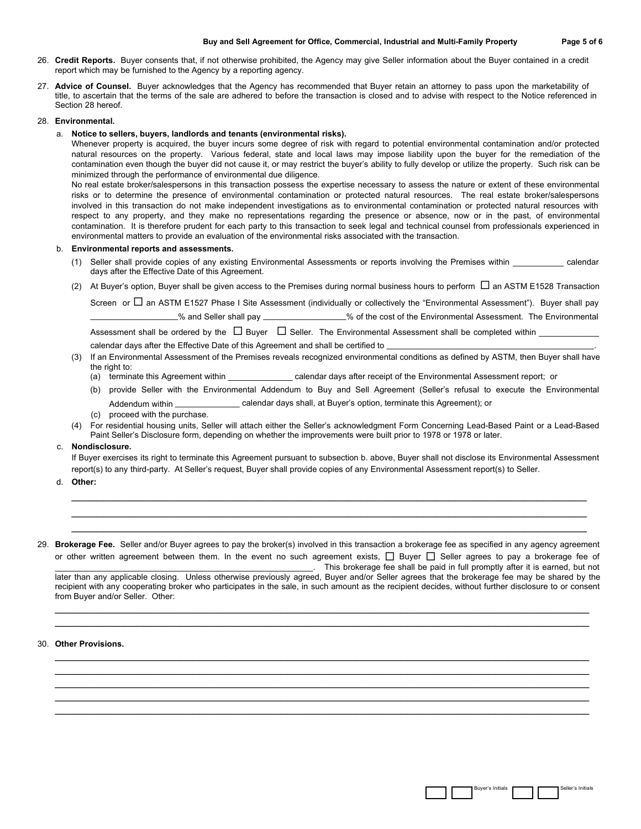- 26. **Credit Reports.** Buyer consents that, if not otherwise prohibited, the Agency may give Seller information about the Buyer contained in a credit report which may be furnished to the Agency by a reporting agency.
- 27. **Advice of Counsel.** Buyer acknowledges that the Agency has recommended that Buyer retain an attorney to pass upon the marketability of title, to ascertain that the terms of the sale are adhered to before the transaction is closed and to advise with respect to the Notice referenced in Section 28 hereof.

## 28. **Environmental.**

## a. **Notice to sellers, buyers, landlords and tenants (environmental risks).**

Whenever property is acquired, the buyer incurs some degree of risk with regard to potential environmental contamination and/or protected natural resources on the property. Various federal, state and local laws may impose liability upon the buyer for the remediation of the contamination even though the buyer did not cause it, or may restrict the buyer's ability to fully develop or utilize the property. Such risk can be minimized through the performance of environmental due diligence.

No real estate broker/salespersons in this transaction possess the expertise necessary to assess the nature or extent of these environmental risks or to determine the presence of environmental contamination or protected natural resources. The real estate broker/salespersons involved in this transaction do not make independent investigations as to environmental contamination or protected natural resources with respect to any property, and they make no representations regarding the presence or absence, now or in the past, of environmental contamination. It is therefore prudent for each party to this transaction to seek legal and technical counsel from professionals experienced in environmental matters to provide an evaluation of the environmental risks associated with the transaction.

#### b. **Environmental reports and assessments.**

- (1) Seller shall provide copies of any existing Environmental Assessments or reports involving the Premises within calendar days after the Effective Date of this Agreement.
- (2) At Buyer's option, Buyer shall be given access to the Premises during normal business hours to perform  $\Box$  an ASTM E1528 Transaction

Screen or  $\Box$  an ASTM E1527 Phase I Site Assessment (individually or collectively the "Environmental Assessment"). Buyer shall pay \_\_\_\_\_\_\_\_\_\_\_\_\_\_\_\_\_\_\_% and Seller shall pay \_\_\_\_\_\_\_\_\_\_\_\_\_\_\_\_\_\_% of the cost of the Environmental Assessment. The Environmental

Assessment shall be ordered by the  $\Box$  Buyer  $\Box$  Seller. The Environmental Assessment shall be completed within

- calendar days after the Effective Date of this Agreement and shall be certified to \_
- (3) If an Environmental Assessment of the Premises reveals recognized environmental conditions as defined by ASTM, then Buyer shall have the right to:
	- (a) terminate this Agreement within \_\_\_\_\_\_\_\_\_\_\_\_\_\_ calendar days after receipt of the Environmental Assessment report; or
	- (b) provide Seller with the Environmental Addendum to Buy and Sell Agreement (Seller's refusal to execute the Environmental Addendum within \_\_\_\_\_\_\_\_\_\_\_\_\_\_ calendar days shall, at Buyer's option, terminate this Agreement); or
	- (c) proceed with the purchase.
- (4) For residential housing units, Seller will attach either the Seller's acknowledgment Form Concerning Lead-Based Paint or a Lead-Based Paint Seller's Disclosure form, depending on whether the improvements were built prior to 1978 or 1978 or later.

## c. **Nondisclosure.**

If Buyer exercises its right to terminate this Agreement pursuant to subsection b. above, Buyer shall not disclose its Environmental Assessment report(s) to any third-party. At Seller's request, Buyer shall provide copies of any Environmental Assessment report(s) to Seller.

\_\_\_\_\_\_\_\_\_\_\_\_\_\_\_\_\_\_\_\_\_\_\_\_\_\_\_\_\_\_\_\_\_\_\_\_\_\_\_\_\_\_\_\_\_\_\_\_\_\_\_\_\_\_\_\_\_\_\_\_\_\_\_\_\_\_\_\_\_\_\_\_\_\_\_\_\_\_\_\_\_\_ \_\_\_\_\_\_\_\_\_\_\_\_\_\_\_\_\_\_\_\_\_\_\_\_\_\_\_\_\_\_\_\_\_\_\_\_\_\_\_\_\_\_\_\_\_\_\_\_\_\_\_\_\_\_\_\_\_\_\_\_\_\_\_\_\_\_\_\_\_\_\_\_\_\_\_\_\_\_\_\_\_\_ \_\_\_\_\_\_\_\_\_\_\_\_\_\_\_\_\_\_\_\_\_\_\_\_\_\_\_\_\_\_\_\_\_\_\_\_\_\_\_\_\_\_\_\_\_\_\_\_\_\_\_\_\_\_\_\_\_\_\_\_\_\_\_\_\_\_\_\_\_\_\_\_\_\_\_\_\_\_\_\_\_\_

d. **Other:**

# 29. **Brokerage Fee.** Seller and/or Buyer agrees to pay the broker(s) involved in this transaction a brokerage fee as specified in any agency agreement or other written agreement between them. In the event no such agreement exists,  $\Box$  Buyer  $\Box$  Seller agrees to pay a brokerage fee of

This brokerage fee shall be paid in full promptly after it is earned, but not later than any applicable closing. Unless otherwise previously agreed, Buyer and/or Seller agrees that the brokerage fee may be shared by the recipient with any cooperating broker who participates in the sale, in such amount as the recipient decides, without further disclosure to or consent from Buyer and/or Seller. Other:

\_\_\_\_\_\_\_\_\_\_\_\_\_\_\_\_\_\_\_\_\_\_\_\_\_\_\_\_\_\_\_\_\_\_\_\_\_\_\_\_\_\_\_\_\_\_\_\_\_\_\_\_\_\_\_\_\_\_\_\_\_\_\_\_\_\_\_\_\_\_\_\_\_\_\_\_\_\_\_\_\_\_\_\_\_ \_\_\_\_\_\_\_\_\_\_\_\_\_\_\_\_\_\_\_\_\_\_\_\_\_\_\_\_\_\_\_\_\_\_\_\_\_\_\_\_\_\_\_\_\_\_\_\_\_\_\_\_\_\_\_\_\_\_\_\_\_\_\_\_\_\_\_\_\_\_\_\_\_\_\_\_\_\_\_\_\_\_\_\_\_

\_\_\_\_\_\_\_\_\_\_\_\_\_\_\_\_\_\_\_\_\_\_\_\_\_\_\_\_\_\_\_\_\_\_\_\_\_\_\_\_\_\_\_\_\_\_\_\_\_\_\_\_\_\_\_\_\_\_\_\_\_\_\_\_\_\_\_\_\_\_\_\_\_\_\_\_\_\_\_\_\_\_\_\_\_ \_\_\_\_\_\_\_\_\_\_\_\_\_\_\_\_\_\_\_\_\_\_\_\_\_\_\_\_\_\_\_\_\_\_\_\_\_\_\_\_\_\_\_\_\_\_\_\_\_\_\_\_\_\_\_\_\_\_\_\_\_\_\_\_\_\_\_\_\_\_\_\_\_\_\_\_\_\_\_\_\_\_\_\_\_ \_\_\_\_\_\_\_\_\_\_\_\_\_\_\_\_\_\_\_\_\_\_\_\_\_\_\_\_\_\_\_\_\_\_\_\_\_\_\_\_\_\_\_\_\_\_\_\_\_\_\_\_\_\_\_\_\_\_\_\_\_\_\_\_\_\_\_\_\_\_\_\_\_\_\_\_\_\_\_\_\_\_\_\_\_ \_\_\_\_\_\_\_\_\_\_\_\_\_\_\_\_\_\_\_\_\_\_\_\_\_\_\_\_\_\_\_\_\_\_\_\_\_\_\_\_\_\_\_\_\_\_\_\_\_\_\_\_\_\_\_\_\_\_\_\_\_\_\_\_\_\_\_\_\_\_\_\_\_\_\_\_\_\_\_\_\_\_\_\_\_ \_\_\_\_\_\_\_\_\_\_\_\_\_\_\_\_\_\_\_\_\_\_\_\_\_\_\_\_\_\_\_\_\_\_\_\_\_\_\_\_\_\_\_\_\_\_\_\_\_\_\_\_\_\_\_\_\_\_\_\_\_\_\_\_\_\_\_\_\_\_\_\_\_\_\_\_\_\_\_\_\_\_\_\_\_

## 30. **Other Provisions.**